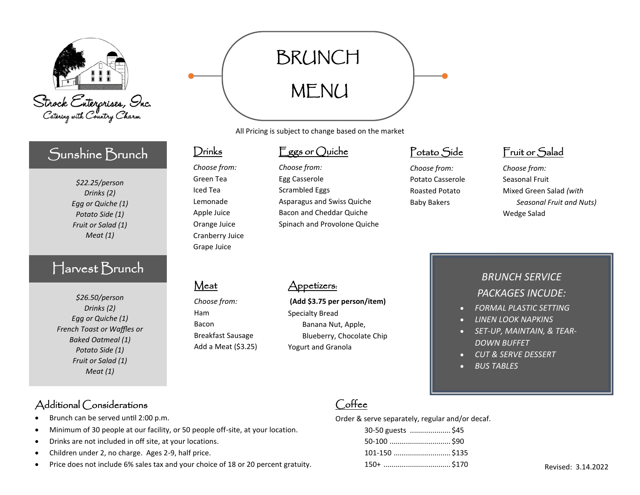

## Sunshine Brunch

*\$22.25/person Drinks (2) Egg or Quiche (1) Potato Side (1) Fruit or Salad (1) Meat (1)*

## Harvest Brunch

*\$26.50/person Drinks (2) Egg or Quiche (1) French Toast or Waffles or Baked Oatmeal (1) Potato Side (1) Fruit or Salad (1) Meat (1)*

#### Additional Considerations

- Brunch can be served until 2:00 p.m.
- Minimum of 30 people at our facility, or 50 people off-site, at your location.
- Drinks are not included in off site, at your locations.
- Children under 2, no charge. Ages 2-9, half price.
- Price does not include 6% sales tax and your choice of 18 or 20 percent gratuity.

# BRUNCH MENU

All Pricing is subject to change based on the market

#### Eggs or Quiche

*Choose from:* Egg Casserole Scrambled Eggs Asparagus and Swiss Quiche Bacon and Cheddar Quiche Spinach and Provolone Quiche

## Potato Side

*Choose from:* Potato Casserole Roasted Potato Baby Bakers

## Fruit or Salad

*Choose from:* Seasonal Fruit Mixed Green Salad *(with Seasonal Fruit and Nuts)* Wedge Salad

#### **Meat**

Drinks

*Choose from:* Green Tea Iced Tea Lemonade Apple Juice Orange Juice Cranberry Juice Grape Juice

*Choose from:* Ham Bacon Breakfast Sausage Add a Meat (\$3.25)

#### Appetizers:

**(Add \$3.75 per person/item)** Specialty Bread Banana Nut, Apple, Blueberry, Chocolate Chip Yogurt and Granola

## *BRUNCH SERVICE PACKAGES INCUDE:*

- *FORMAL PLASTIC SETTING*
- *LINEN LOOK NAPKINS*
- *SET-UP, MAINTAIN, & TEAR-DOWN BUFFET*
- *CUT & SERVE DESSERT*
- *BUS TABLES*

## Coffee

Order & serve separately, regular and/or decaf.

| 30-50 guests \$45 |  |
|-------------------|--|
|                   |  |
| 101-150  \$135    |  |
| 150+ \$170        |  |